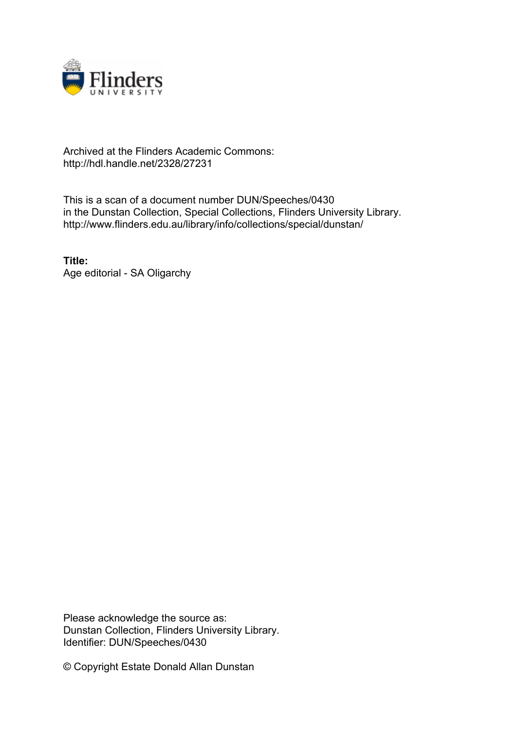

## Archived at the Flinders Academic Commons: http://hdl.handle.net/2328/27231

This is a scan of a document number DUN/Speeches/0430 in the Dunstan Collection, Special Collections, Flinders University Library. http://www.flinders.edu.au/library/info/collections/special/dunstan/

**Title:** Age editorial - SA Oligarchy

Please acknowledge the source as: Dunstan Collection, Flinders University Library. Identifier: DUN/Speeches/0430

© Copyright Estate Donald Allan Dunstan